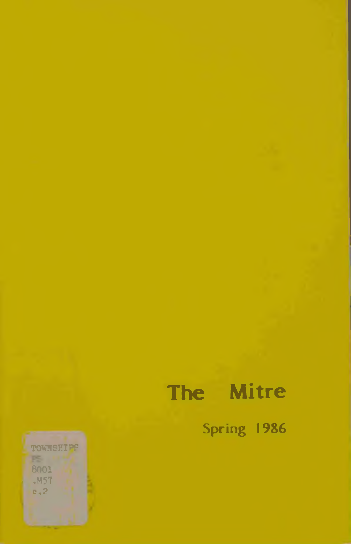# The Mitre

Spring 1986

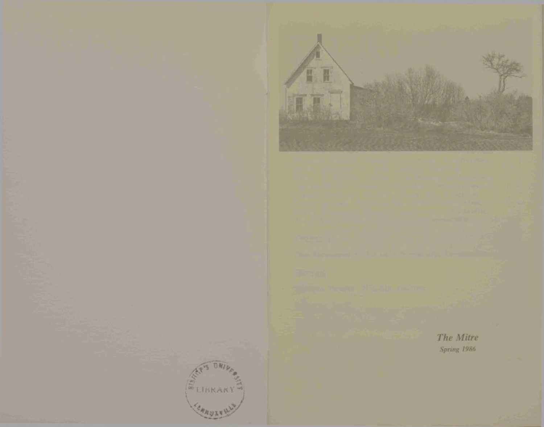



The Mitre Spring 1986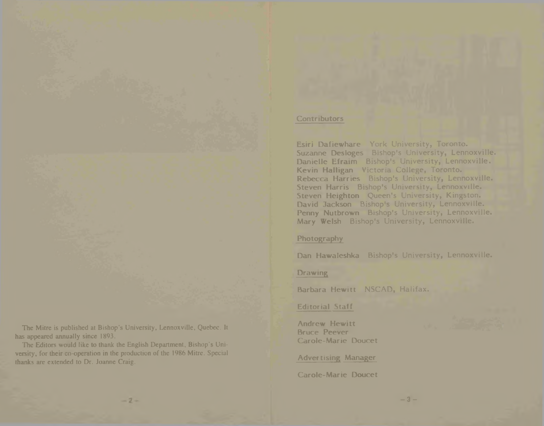The Mitre is published at Bishop's University, Lennoxville, Quebec. It has appeared annually since 1893.

The Editors would like to thank the English Department, Bishop's Uni versity, for their co-operation in the production of the 1986 Mitre. Special thanks are extended to Dr. Joanne Craig.

 $-2-$ 

#### **Contributors**

**Esiri Dafiewhare** York University, Toronto. **Suzanne Desloges** Bishop's University, Lennoxville. **Danielle Efraim** Bishop's University, Lennoxville. **Kevin Halligan** Victoria College, Toronto. **Rebecca Harries** Bishop's University, Lennoxville. **Steven Harris** Bishop's University, Lennoxville. **Steven Heighton** Queen's University, Kingston. **David Jackson** Bishop's University, Lennoxville. **Penny Nutbrown** Bishop's University, Lennoxville. **Mary Welsh** Bishop's University, Lennoxville.

## **Photography**

**Dan Hawaleshka** Bishop's University, Lennoxville.

 $-3 -$ 

## **Drawing**

**Barbara Hewitt** NSCAD, Halifax.

## **Editorial Staff**

**Andrew Hewitt Bruce Peever Carole-Marie Doucet**

**Advertising Manager**

**Carole-Marie Doucet**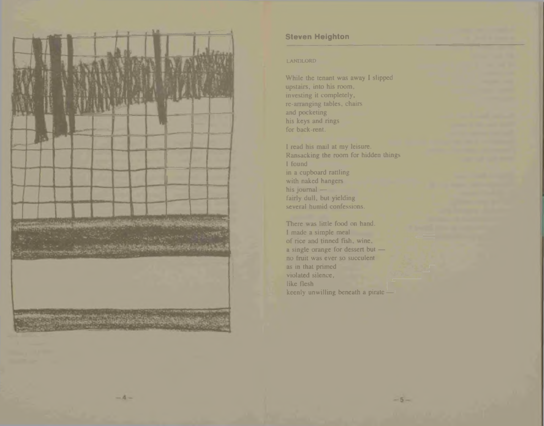

 $-4-$ 

## **Steven Heighton**

### LANDLORD

While the tenant was away I slipped upstairs, into his room, investing it completely, re-arranging tables, chairs and pocketing his keys and rings for back-rent.

I read his mail at my leisure. Ransacking the room for hidden things I found in a cupboard rattling with naked hangers his journal fairly dull, but yielding several humid confessions.

There was little food on hand. I made a simple meal of rice and tinned fish, wine, a single orange for dessert but no fruit was ever so succulent as in that primed violated silence, like flesh keenly unwilling beneath a pirate —

 $-5-$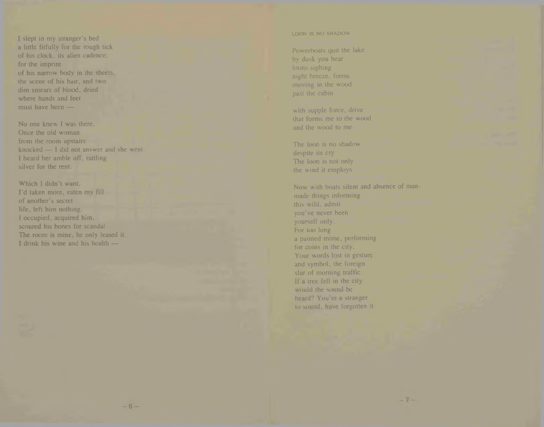I slept in my stranger's bed a little fitfully for the rough tick of his clock, its alien cadence; for the imprint of his narrow body in the sheets, the scene of his hair, and two dim smears of blood, dried where hands and feel must have been —

No one knew I was there. Once the old woman from the room upstairs knocked — I did not answer and she went, I heard her amble off, rattling silver for the rent.

Which I didn't want. I'd taken more, eaten my fill of another's secret life, left him nothing. I occupied, acquired him. scoured his bones for scandal The room is mine, he only leased it l drink his wine and his health —

#### LOON IS NO SHADOW

Powerboats quit the lake by dusk you hear loons sighing night breeze, forms moving in the wood past the cabin

with supple force, drive that forms me to the wood and the wood to me

The loon is no shadow despite its cry The loon is not only the wind it employs

Now with boats silent and absence of man made things informing this wild, admit you've never been yourself only. For too long a painted mime, performing for coins in the city. Your words lost in gesture and symbol, the foreign slur of morning traffic. If a tree fell in the city would the sound be heard? You're a stranger to sound, have forgotten it.

 $-7-$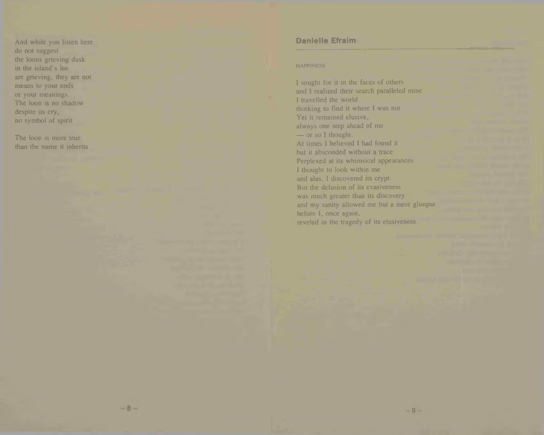And while you listen here do not suggest the loons grieving dusk in the island's lee are grieving, they are not means to your ends or your meanings. The loon is no shadow despite its cry, no symbol of spirit

The loon is more true than the name it inherits

## **Danielle Efraim**

#### **HAPPINESS**

I sought for it in the faces of others and I realized their search paralleled mine I travelled the world thinking to find it where I was not Yet it remained elusive, always one step ahead of me — or so I thought. At times I believed I had found it but it absconded without a trace Perplexed at its whimsical appearances I thought to look within me and alas, I discovered its crypt. But the delusion of its evasiveness was much greater than its discovery and my sanity allowed me but a mere glimpse before I, once again, reveled in the tragedy of its elusiveness.

 $-9 -$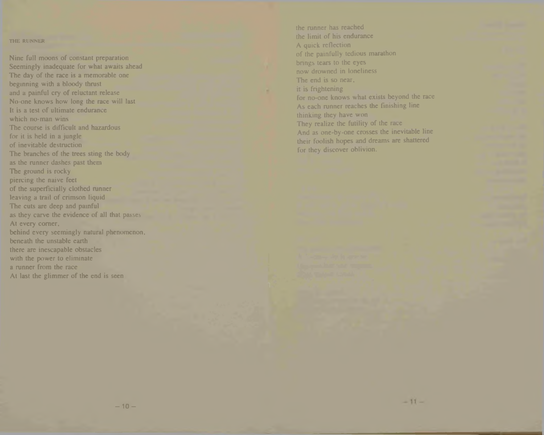#### THE RUNNER

Nine full moons of constant preparation Seemingly inadequate for what awaits ahead The day of the race is a memorable one beginning with a bloody thrust and a painful cry of reluctant release No-one knows how long the race will last It is a test of ultimate endurance which no-man wins The course is difficult and hazardous for it is held in a jungle of inevitable destruction The branches of the trees sting the body as the runner dashes past them The ground is rocky piercing the naive feet of the superficially clothed runner leaving a trail of crimson liquid The cuts are deep and painful as they carve the evidence of all that passes At every comer, behind every seemingly natural phenomenon, beneath the unstable earth there are inescapable obstacles with the power to eliminate a runner from the race At last the glimmer of the end is seen

the runner has reached the limit of his endurance A quick reflection of the painfully tedious marathon brings tears to the eyes now drowned in loneliness The end is so near, it is frightening for no-one knows what exists beyond the race As each runner reaches the finishing line thinking they have won They realize the futility of the race And as one-by-one crosses the inevitable line their foolish hopes and dreams are shattered for they discover oblivion.

 $-11-$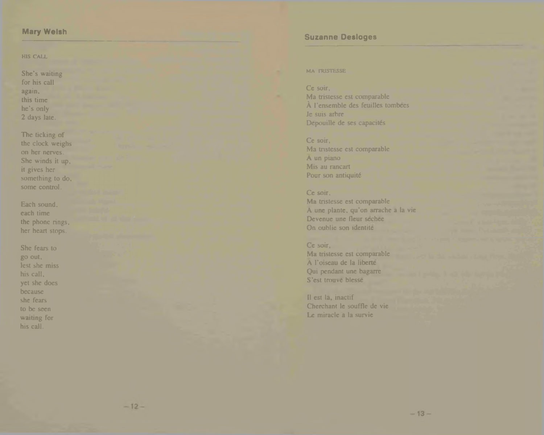## **Mary Welsh**

#### HIS CALL

She's waiting for his call again, this time he's only 2 days late.

The ticking of the clock weighs on her nerves. She winds it up, it gives her something to do, some control.

Each sound, each time the phone rings, her heart stops.

She fears to go out, lest she miss his call, yet she does because she fears to be seen waiting for his call.

## **Suzanne Desloges**

### MA TRISTESSE

Ce soir, Ma tristesse est comparable **A** l'ensemble des feuilles tombees Je suis arbre Depouille de ses capacités

Ce soir, Ma tristesse est comparable A un piano Mis au rancart Pour son antiquité

Ce soir, Ma tristesse est comparable A une plante. qu'on arrache a la vie Devenue une fleur sechee On oublie son identite

## Ce soir,

Ma tristesse est comparable A l'oiseau de la liberte Qui pendant une bagarre S'est trouve blesse

ll est la, inactif Cherchant le souffle de vie Le miracle a la survie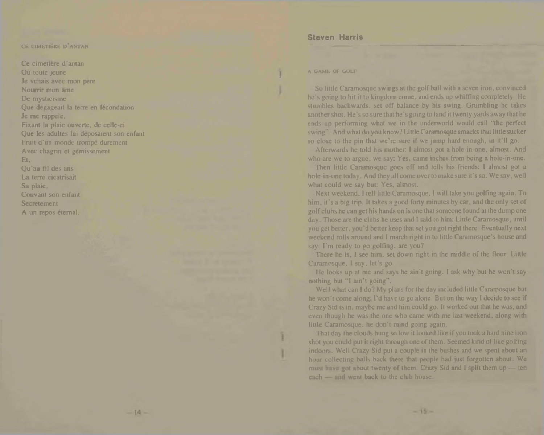#### CE CIMETIERE D'ANTAN

Ce cimetiere d'antan Ou toute jeune Je venais avec mon pere Nourrir mon ame De mysticisme Que degageait la terre en fécondation Je me rappele, Fixant la plaie ouverte. de cclle-ci Que les adultes lui deposaient son enfant Fruit d'un monde trompe durement Avec chagrin et gemissement Et, Qu'au Fil des ans La terre cicatrisait Sa plaie, Couvant son enfant **Secretement** A un repos éternal.

## **Steven Harris**

#### A GAME OF GOLF

So little Caramosque swings at the golf ball with a seven iron, convinced he's going to hit it to kingdom come, and ends up whiffing completely He stumbles backwards, set off balance by his swing. Grumbling he takes another shot. He's so sure that he's going to land it twenty yards away that he ends up performing what we in the underworld would call "the perfect swing". And what do you know? Little Caramosque smacks that little sucker so close to the pin that we're sure if we jump hard enough, in it'll go.

Afterwards he told his mother: I almost got a hole-in-one, almost. And who are we to argue, we say: Yes, came inches from being a hole-in-one.

Then little Caramosque goes off and tells his friends: I almost got a hole-in-one today. And they all come over to make sure it's so. We say, well what could we say but: Yes, almost.

Next weekend, I tell little Caramosque, I will lake you golfing again. To him, it's a big trip. It takes a good forty minutes by car, and the only set of golf clubs he can get his hands on is one that someone found at the dump one day. Those are the clubs he uses and I said to him: Little Caramosque, until you get better, you'd better keep that set you got right there Eventually next weekend rolls around and I march right in to little Caramosque's house and say: I'm ready to go golfing, are you?

There he is, I see him, set down right in the middle of the floor. Little Caramosque. I say, let's go.

He looks up at me and says he ain't going. I ask why but he won't say nothing but "I ain't going".

Well what can I do? My plans for the day included little Caramosque but he won't come along; I'd have to go alone. But on the way I decide to see if Crazy Sid is in, maybe me and him could go. It worked out that he was, and even though he was the one who came with me last weekend, along with little Caramosque, he don't mind going again.

That day the clouds hung so low it looked like if you took a hard nine iron shot you could put it right through one of them. Seemed kind of like golfing indoors. Well Crazy Sid put a couple in the hushes and we spent about an hour collecting balls back there that people had just forgotten about. We must have got about twenty of them. Crazy Sid and 1 split them up — ten each — and went back to the club house.

 $-15-$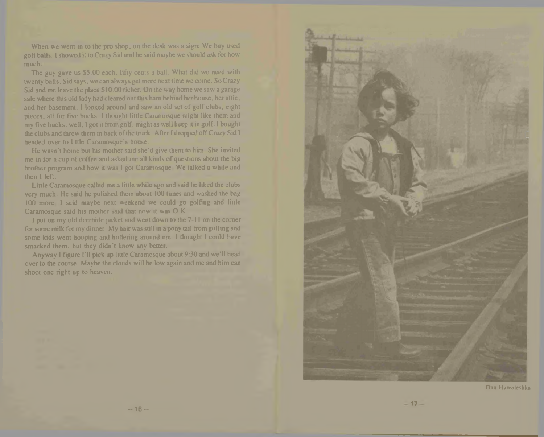When we went in to the pro shop, on the desk was a sign: We buy used golf balls. I showed it to Crazy Sid and he said maybe we should ask for how much.

The guy gave us \$5.00 each, fifty cents a ball. What did we need with twenty balls, Sid says, we can always get more next time we come. So Crazy Sid and me leave the place \$10.00 richer. On the way home we saw a garage sale where this old lady had cleared out this bam behind her house, her attic, and her basement. I looked around and saw an old set of golf clubs, eight pieces, all for five bucks. I thought little Caramosque might like them and my five bucks, well, I got it from golf, might as well keep it in golf. I bought the clubs and threw them in back of the truck. After I dropped off Crazy Sid I headed over to little Caramosque's house.

He wasn't home but his mother said she'd give them to him. She invited me in for a cup of coffee and asked me all kinds of questions about the big brother program and how it was I got Caramosque We talked a while and then I left.

Little Caramosque called me a little while ago and said he liked the clubs very much. He said he polished them about 100 times and washed the bag 100 more I said maybe next weekend we could go golfing and little Caramosque said his mother said that now it was O K.

I put on my old deerhide jacket and went down to the 7-11 on the comer for some milk for my dinner My hair was still in a pony tail from golfing and some kids went hooping and hollering around em I thought I could have smacked them, but they didn't know any better.

Anyway I figure I'll pick up little Caramosque about 9:30 and we'll head over to the course. Maybe the clouds will be low again and me and him can shoot one right up to heaven.

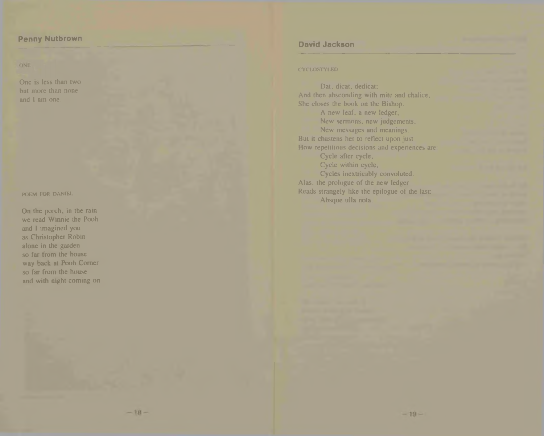## **Penny Nutbrown**

ONE

One is less than two but more than none and I am one.

POEM FOR DANIEL.

On the porch, in the rain we read Winnie the Pooh and I imagined you as Christopher Robin alone in the garden so far from the house way back at Pooh Comer so far from the house and with night coming on

## **David Jackson**

#### **CYCLOSTYLED**

Dat, dicat, dedicat; And then absconding with mite and chalice. She closes the book on the Bishop. A new leaf, a new ledger. New sermons, new judgements. New messages and meanings. But it chastens her to reflect upon just How repetitious decisions and experiences are: Cycle after cycle. Cycle within cycle, Cycles inextricably convoluted. Alas, the prologue of the new ledger Reads strangely like the epilogue of the last: Absque ulla nota.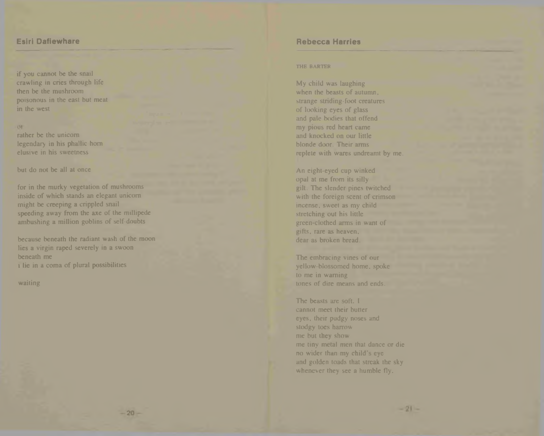## **Esiri Dafiewhare**

if you cannot be the snail crawling in cries through life then be the mushroom poisonous in the east but meat in the west

## **OF**

rather be the unicorn legendary in his phallic horn elusive in his sweetness

but do not be all at once

for in the murky vegetation of mushrooms inside of which stands an elegant unicorn might be creeping a crippled snail speeding away from the axe of the millipede ambushing a million goblins of self-doubts

because beneath the radiant wash of the moon lies a virgin raped severely in a swoon beneath me t lie in a coma of plural possibilities

waiting

## **Rebecca Harries**

#### THE BARTER

My child was laughing when the beasts of autumn, strange striding-foot creatures of looking eyes of glass and pale bodies that offend my pious red heart came and knocked on our little blonde door. Their arms replete with wares undreamt by me.

An eight-eyed cup winked opal at me from its silly gilt. The slender pines twitched with the foreign scent of crimson incense, sweet as my child stretching out his little green-clothed arms in want of gifts, rare as heaven, dear as broken bread.

The embracing vines of our yellow-blossomed home, spoke to me in warning tones of dire means and ends.

The beasts are soft. I cannot meet their butter eyes, their pudgy noses and stodgy toes harrow me but they show me tiny metal men that dance or die no wider than my child's eye and golden toads that streak the sky whenever they see a humble fly.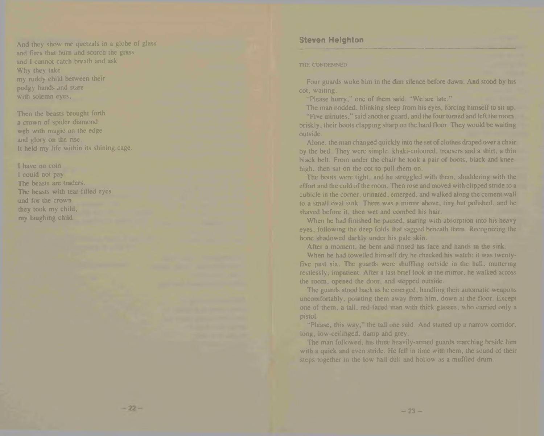And they show me quetzals in a globe of glass and fires that burn and scorch the grass and I cannot catch breath and ask Why they take my ruddy child between their pudgy hands and stare with solemn eyes,

Then the beasts brought forth a crown of spider diamond web with magic on the edge and glory on the rise. It held my life within its shining cage.

I have no coin I could not pay. The beasts are traders. The beasts with tear-filled eyes and for the crown they took my child, my laughing child.

## **Steven Heighton**

#### THE CONDEMNED

Four guards woke him in the dim silence before dawn. And stood by his cot, waiting.

"Please hurry," one of them said. "We are late."

The man nodded, blinking sleep from his eyes, forcing himself to sit up.

"Five minutes," said another guard, and the four turned and left the room, briskly, their boots clapping sharp on the hard floor. They would be waiting outside.

Alone, the man changed quickly into the set of clothes draped over a chair by the bed They were simple, khaki-coloured, trousers and a shirt, a thin black belt. From under the chair he took a pair of boots, black and kneehigh, then sat on the cot to pull them on.

The boots were tight, and he struggled with them, shuddering with the effort and the cold of the room. Then rose and moved with clipped stride to a cubicle in the corner, urinated, emerged, and walked along the cement wall to a small oval sink. There was a mirror above, tiny but polished, and he shaved before it, then wet and combed his hair.

When he had finished he paused, staring with absorption into his heavy eyes, following the deep folds that sagged beneath them. Recognizing the bone shadowed darkly under his pale skin.

After a moment, he bent and rinsed his face and hands in the sink.

When he had towelled himself dry he checked his watch: it was twentyfive past six. The guards were shuffling outside in the hall, muttering restlessly, impatient. After a last brief look in the mirror, he walked across the room, opened the door, and stepped outside.

The guards stood back as he emerged, handling their automatic weapons uncomfortably, pointing them away from him, down at the floor. Except one of them, a tall, red-faced man with thick glasses, who carried only a pistol.

"Please, this way," the tall one said. And started up a narrow corridor, long, low-ceilinged, damp and grey.

The man followed, his three heavily-armed guards marching beside him with a quick and even stride. He fell in time with them, the sound of their steps together in the low hall dull and hollow as a muffled drum.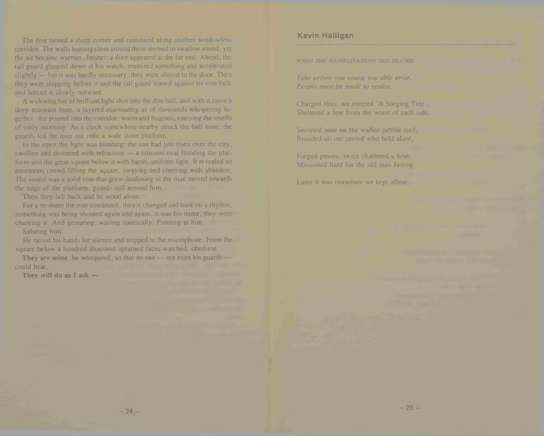The five turned a sharp comer and continued along another windowless corridor. The walls leaning close around them seemed to swallow sound, yet the air became wanner, fresher; a door appeared at the far end. Ahead, the tall guard glanced down at his watch, muttered something and accelerated slightly — but it was hardly necessary, they were almost to the door. Then they were stopping before it and the tall guard leaned against its iron bulk and forced it slowly outward.

A widening bar of brilliant light shot into the dim hall, and with it came a deep resonant hum, a layered murmuring as of thousands whispering together. Air poured into the corridor, warm and fragrant, carrying the smells of early morning. As a clock somewhere nearby struck the half-hour, the guards led the man out onto a wide stone platform.

In the open the light was blinding; the sun had just risen over the city, swollen and distorted with refraction — a crimson oval flooding the platform and the great square below it with harsh, uniform light. It revealed an enormous crowd filling the square, swaying and cheering with abandon. The sound was a solid roar that grew deafening as the man moved towards the edge of the platform, guards still around him.

Then they fell back and he stood alone.

For a moment the roar continued, then it changed and took on a rhythm; something was being shouted again and again, it was his name, they were chanting it. And gesturing, waving frantically. Pointing at him

Saluting him.

He raised his hands for silence and stepped to the microphone. From the square below a hundred thousand upturned faces watched, obedient.

They are mine, he whispered, so that no one — not even his guards could hear.

They will do as I ask -

## **Kevin Halligan**

WHEN THE MANIFESTATIONS GOT HEATED

*Take action you young you able arise. People must be made to realize.*

Charged thus, we entered 'A Surging Tide', Sheltered a few from the worst of each side,

Secreted nine on the walled pebble roof, Branded all our crowd who held aloof,

Forged passes, twice chartered a boat, Missioned hard for the old man fasting.

Later it was ourselves we kept afloat.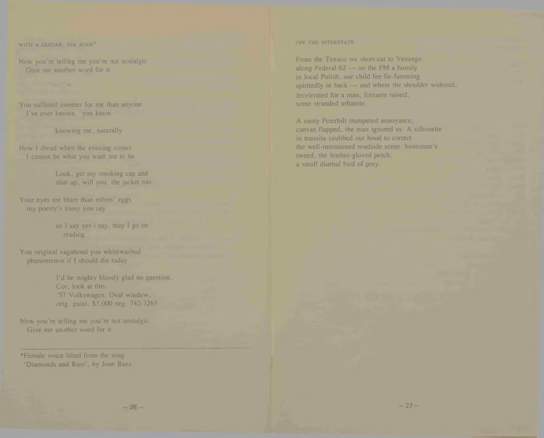WITH A GUITAR, VIA JOAN\*

Now you're telling me you're not nostalgic Give me another word for it

You suffered sweeter for me than anyone I've ever known you know

knowing me, naturally

How I dread when the evening comes I cannot be what you want me to be

> Look, get my smoking cap and shut up. will you. the jacket too

Your eyes are bluer than robins' eggs my poetry's lousy you say

> so I say yes i say, may I go on reading

You original vagabond you whitewashed phenomenon if I should die today

> I'd be mighty bloody glad no question. Cor, look at this. '57 Volkswagen. Oval window, orig. paint. \$3,000 neg. 742-7263

Now you're telling me you're not nostalgic Give me another word for it

•Female voice lifted from the song 'Diamonds and Rust', by Joan Baez

#### OFF THE INTERSTATE

From the Texaco we short-cut to Venango along Federal 62 — on the FM a homily in local Polish, our child fee-fie-fumming spiritedly in back — and where the shoulder widened, decelerated for a man, forearm raised. some stranded urbanite.

A sooty Peterbilt trumpeted annoyance; canvas flapped, the man ignored us. A silhouette in transitu snubbed our hood to correct the well-intentioned roadside scene: huntsman's tweed, the leather-gloved perch, a small diurnal bird of prey.